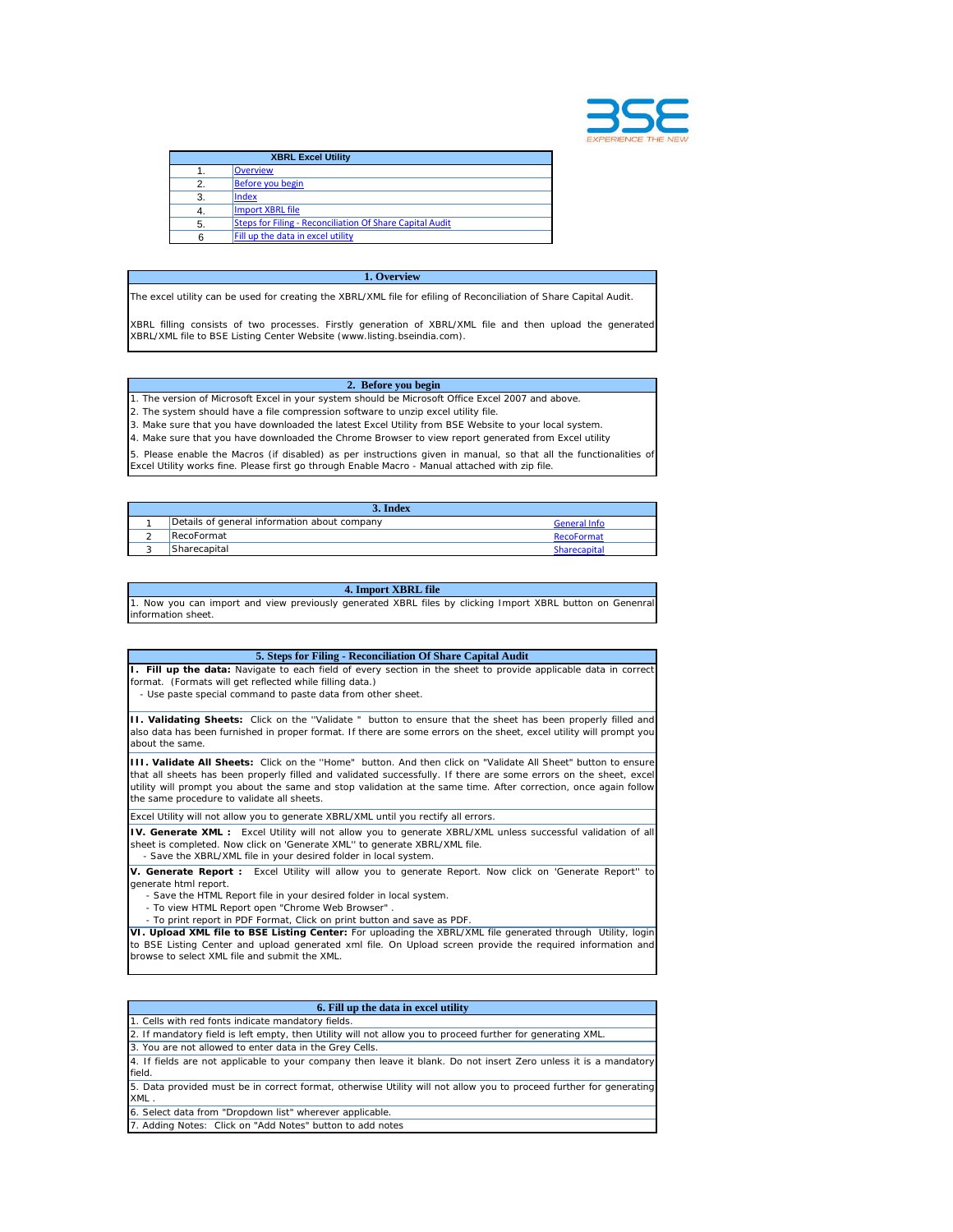

|    | <b>XBRL Excel Utility</b>                                |  |
|----|----------------------------------------------------------|--|
|    | <b>Overview</b>                                          |  |
| 2. | Before you begin                                         |  |
| 3. | Index                                                    |  |
|    | Import XBRL file                                         |  |
| 5. | Steps for Filing - Reconciliation Of Share Capital Audit |  |
| 6  | Fill up the data in excel utility                        |  |

## **1. Overview**

The excel utility can be used for creating the XBRL/XML file for efiling of Reconciliation of Share Capital Audit.

XBRL filling consists of two processes. Firstly generation of XBRL/XML file and then upload the generated XBRL/XML file to BSE Listing Center Website (www.listing.bseindia.com).

## **2. Before you begin**

1. The version of Microsoft Excel in your system should be Microsoft Office Excel 2007 and above.

2. The system should have a file compression software to unzip excel utility file.

3. Make sure that you have downloaded the latest Excel Utility from BSE Website to your local system.

4. Make sure that you have downloaded the Chrome Browser to view report generated from Excel utility

5. Please enable the Macros (if disabled) as per instructions given in manual, so that all the functionalities of Excel Utility works fine. Please first go through Enable Macro - Manual attached with zip file.

| 3. Index |                                              |                     |  |  |
|----------|----------------------------------------------|---------------------|--|--|
|          | Details of general information about company | <b>General Info</b> |  |  |
|          | RecoFormat                                   | RecoFormat          |  |  |
|          | Sharecapital                                 | Sharecapital        |  |  |

## **4. Import XBRL file**

1. Now you can import and view previously generated XBRL files by clicking Import XBRL button on Genenral information sheet.

| 5. Steps for Filing - Reconciliation Of Share Capital Audit                                                                                                                                                                                                   |
|---------------------------------------------------------------------------------------------------------------------------------------------------------------------------------------------------------------------------------------------------------------|
| <b>I. Fill up the data:</b> Navigate to each field of every section in the sheet to provide applicable data in correct<br>format. (Formats will get reflected while filling data.)<br>- Use paste special command to paste data from other sheet.             |
| <b>II. Validating Sheets:</b> Click on the "Validate " button to ensure that the sheet has been properly filled and<br>also data has been furnished in proper format. If there are some errors on the sheet, excel utility will prompt you<br>about the same. |

**III. Validate All Sheets:** Click on the ''Home" button. And then click on "Validate All Sheet" button to ensure that all sheets has been properly filled and validated successfully. If there are some errors on the sheet, excel utility will prompt you about the same and stop validation at the same time. After correction, once again follow the same procedure to validate all sheets.

Excel Utility will not allow you to generate XBRL/XML until you rectify all errors.

**IV. Generate XML :** Excel Utility will not allow you to generate XBRL/XML unless successful validation of all sheet is completed. Now click on 'Generate XML'' to generate XBRL/XML file.

- Save the XBRL/XML file in your desired folder in local system.

**V. Generate Report :** Excel Utility will allow you to generate Report. Now click on 'Generate Report'' to generate html report.

- Save the HTML Report file in your desired folder in local system.
- To view HTML Report open "Chrome Web Browser" .
- To print report in PDF Format, Click on print button and save as PDF.

**VI. Upload XML file to BSE Listing Center:** For uploading the XBRL/XML file generated through Utility, login to BSE Listing Center and upload generated xml file. On Upload screen provide the required information and browse to select XML file and submit the XML.

| 6. Fill up the data in excel utility                                                                               |
|--------------------------------------------------------------------------------------------------------------------|
| 1. Cells with red fonts indicate mandatory fields.                                                                 |
| 2. If mandatory field is left empty, then Utility will not allow you to proceed further for generating XML.        |
| 3. You are not allowed to enter data in the Grey Cells.                                                            |
| 4. If fields are not applicable to your company then leave it blank. Do not insert Zero unless it is a mandatory   |
| field.                                                                                                             |
| 5. Data provided must be in correct format, otherwise Utility will not allow you to proceed further for generating |
| XML.                                                                                                               |
| 6. Select data from "Dropdown list" wherever applicable.                                                           |
| 7. Adding Notes: Click on "Add Notes" button to add notes                                                          |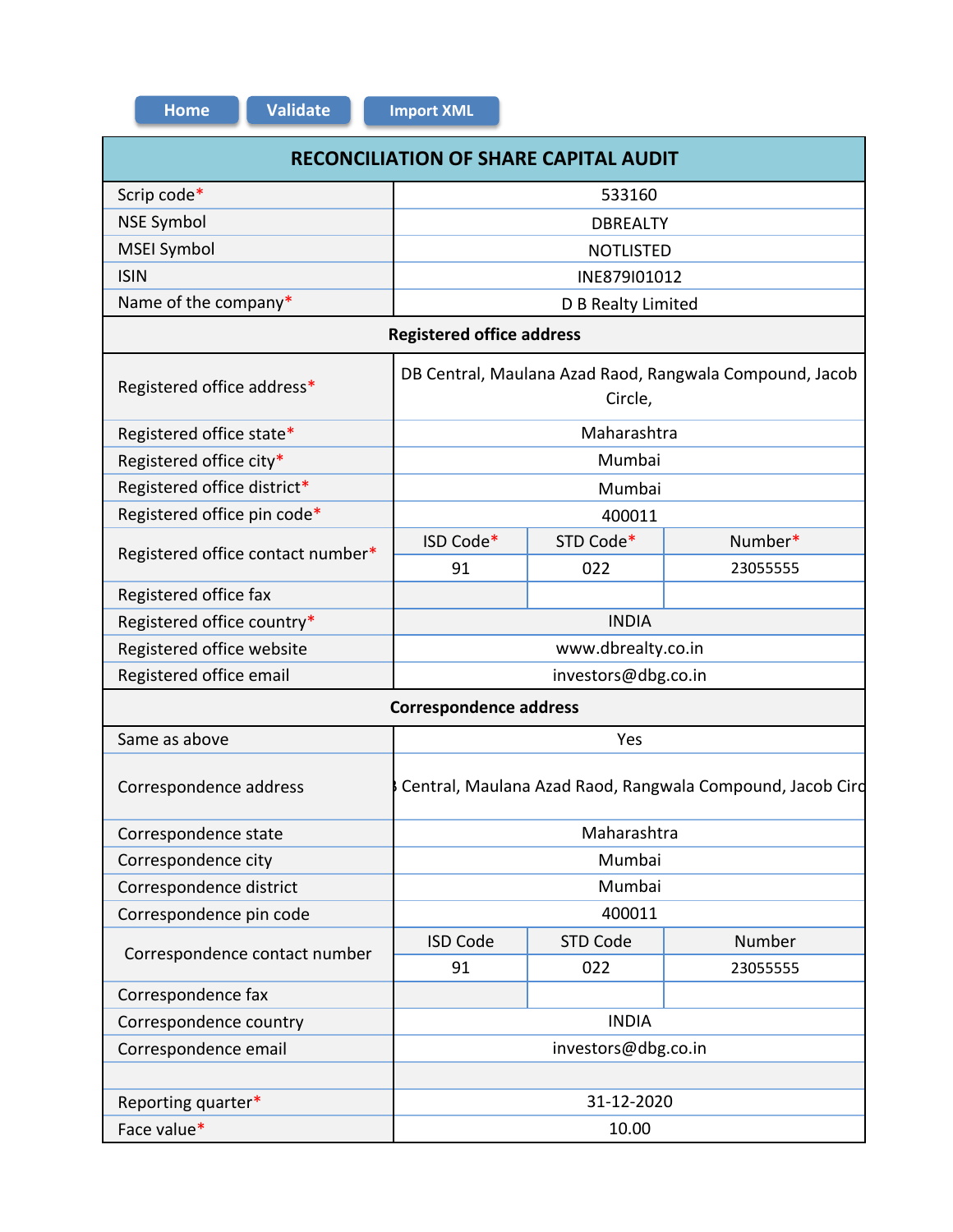| <b>RECONCILIATION OF SHARE CAPITAL AUDIT</b> |                                                                    |                    |          |  |  |  |
|----------------------------------------------|--------------------------------------------------------------------|--------------------|----------|--|--|--|
| Scrip code*                                  | 533160                                                             |                    |          |  |  |  |
| <b>NSE Symbol</b>                            | <b>DBREALTY</b>                                                    |                    |          |  |  |  |
| <b>MSEI Symbol</b>                           | <b>NOTLISTED</b>                                                   |                    |          |  |  |  |
| <b>ISIN</b>                                  | INE879I01012                                                       |                    |          |  |  |  |
| Name of the company*                         | D B Realty Limited                                                 |                    |          |  |  |  |
|                                              | <b>Registered office address</b>                                   |                    |          |  |  |  |
| Registered office address*                   | DB Central, Maulana Azad Raod, Rangwala Compound, Jacob<br>Circle, |                    |          |  |  |  |
| Registered office state*                     |                                                                    | Maharashtra        |          |  |  |  |
| Registered office city*                      | Mumbai                                                             |                    |          |  |  |  |
| Registered office district*                  | Mumbai                                                             |                    |          |  |  |  |
| Registered office pin code*                  | 400011                                                             |                    |          |  |  |  |
| Registered office contact number*            | ISD Code*                                                          | STD Code*          | Number*  |  |  |  |
|                                              | 91                                                                 | 022                | 23055555 |  |  |  |
| Registered office fax                        |                                                                    |                    |          |  |  |  |
| Registered office country*                   |                                                                    | <b>INDIA</b>       |          |  |  |  |
| Registered office website                    |                                                                    | www.dbrealty.co.in |          |  |  |  |
| Registered office email                      | investors@dbg.co.in                                                |                    |          |  |  |  |
|                                              | <b>Correspondence address</b>                                      |                    |          |  |  |  |
| Same as above                                |                                                                    | Yes                |          |  |  |  |
| Correspondence address                       | Central, Maulana Azad Raod, Rangwala Compound, Jacob Cird          |                    |          |  |  |  |
| Correspondence state                         | Maharashtra                                                        |                    |          |  |  |  |
| Correspondence city                          | Mumbai                                                             |                    |          |  |  |  |
| Correspondence district                      | Mumbai                                                             |                    |          |  |  |  |
| Correspondence pin code                      | 400011                                                             |                    |          |  |  |  |
|                                              | <b>ISD Code</b>                                                    | <b>STD Code</b>    | Number   |  |  |  |
| Correspondence contact number                | 91                                                                 | 022                | 23055555 |  |  |  |
| Correspondence fax                           |                                                                    |                    |          |  |  |  |
| Correspondence country                       | <b>INDIA</b>                                                       |                    |          |  |  |  |
| Correspondence email                         | investors@dbg.co.in                                                |                    |          |  |  |  |
|                                              |                                                                    |                    |          |  |  |  |
| Reporting quarter*                           | 31-12-2020                                                         |                    |          |  |  |  |
| Face value*                                  | 10.00                                                              |                    |          |  |  |  |